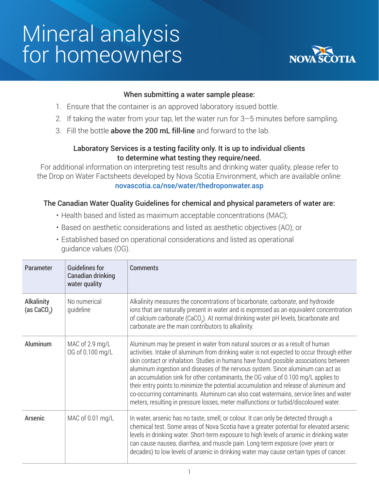# Mineral analysis for homeowners



#### When submitting a water sample please:

- 1. Ensure that the container is an approved laboratory issued bottle.
- 2. If taking the water from your tap, let the water run for 3–5 minutes before sampling.
- 3. Fill the bottle **above the 200 mL fill-line** and forward to the lab.

## Laboratory Services is a testing facility only. It is up to individual clients to determine what testing they require/need.

For additional information on interpreting test results and drinking water quality, please refer to the Drop on Water Factsheets developed by Nova Scotia Environment, which are available online: novascotia.ca/nse/water/thedroponwater.asp

#### The Canadian Water Quality Guidelines for chemical and physical parameters of water are:

- Health based and listed as maximum acceptable concentrations (MAC);
- Based on aesthetic considerations and listed as aesthetic objectives (AO); or
- Established based on operational considerations and listed as operational guidance values (OG).

| Parameter                          | <b>Guidelines for</b><br>Canadian drinking<br>water quality | Comments                                                                                                                                                                                                                                                                                                                                                                                                                                                                                                                                                                                                                                                                                                                   |
|------------------------------------|-------------------------------------------------------------|----------------------------------------------------------------------------------------------------------------------------------------------------------------------------------------------------------------------------------------------------------------------------------------------------------------------------------------------------------------------------------------------------------------------------------------------------------------------------------------------------------------------------------------------------------------------------------------------------------------------------------------------------------------------------------------------------------------------------|
| <b>Alkalinity</b><br>(as $CaCO3$ ) | No numerical<br>quideline                                   | Alkalinity measures the concentrations of bicarbonate, carbonate, and hydroxide<br>ions that are naturally present in water and is expressed as an equivalent concentration<br>of calcium carbonate (CaCO <sub>3</sub> ). At normal drinking water pH levels, bicarbonate and<br>carbonate are the main contributors to alkalinity.                                                                                                                                                                                                                                                                                                                                                                                        |
| Aluminum                           | MAC of 2.9 mg/L<br>OG of 0.100 mg/L                         | Aluminum may be present in water from natural sources or as a result of human<br>activities. Intake of aluminum from drinking water is not expected to occur through either<br>skin contact or inhalation. Studies in humans have found possible associations between<br>aluminum ingestion and diseases of the nervous system. Since aluminum can act as<br>an accumulation sink for other contaminants, the OG value of 0.100 mg/L applies to<br>their entry points to minimize the potential accumulation and release of aluminum and<br>co-occurring contaminants. Aluminum can also coat watermains, service lines and water<br>meters, resulting in pressure losses, meter malfunctions or turbid/discoloured water. |
| Arsenic                            | MAC of 0.01 mg/L                                            | In water, arsenic has no taste, smell, or colour. It can only be detected through a<br>chemical test. Some areas of Nova Scotia have a greater potential for elevated arsenic<br>levels in drinking water. Short-term exposure to high levels of arsenic in drinking water<br>can cause nausea, diarrhea, and muscle pain. Long-term exposure (over years or<br>decades) to low levels of arsenic in drinking water may cause certain types of cancer.                                                                                                                                                                                                                                                                     |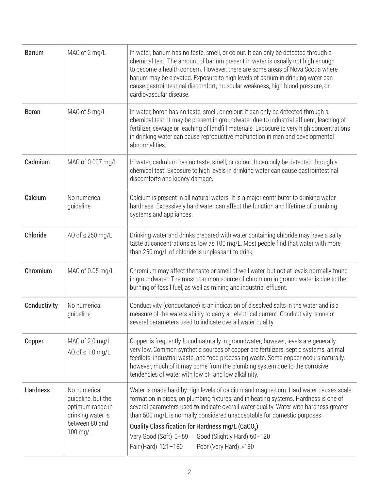| <b>Barium</b>   | MAC of 2 mg/L                                                                                             | In water, barium has no taste, smell, or colour. It can only be detected through a<br>chemical test. The amount of barium present in water is usually not high enough<br>to become a health concern. However, there are some areas of Nova Scotia where<br>barium may be elevated. Exposure to high levels of barium in drinking water can<br>cause gastrointestinal discomfort, muscular weakness, high blood pressure, or<br>cardiovascular disease.                     |
|-----------------|-----------------------------------------------------------------------------------------------------------|----------------------------------------------------------------------------------------------------------------------------------------------------------------------------------------------------------------------------------------------------------------------------------------------------------------------------------------------------------------------------------------------------------------------------------------------------------------------------|
| <b>Boron</b>    | MAC of 5 mg/L                                                                                             | In water, boron has no taste, smell, or colour. It can only be detected through a<br>chemical test. It may be present in groundwater due to industrial effluent, leaching of<br>fertilizer, sewage or leaching of landfill materials. Exposure to very high concentrations<br>in drinking water can cause reproductive malfunction in men and developmental<br>abnormalities.                                                                                              |
| Cadmium         | MAC of 0.007 mg/L                                                                                         | In water, cadmium has no taste, smell, or colour. It can only be detected through a<br>chemical test. Exposure to high levels in drinking water can cause gastrointestinal<br>discomforts and kidney damage.                                                                                                                                                                                                                                                               |
| Calcium         | No numerical<br>quideline                                                                                 | Calcium is present in all natural waters. It is a major contributor to drinking water<br>hardness. Excessively hard water can affect the function and lifetime of plumbing<br>systems and appliances.                                                                                                                                                                                                                                                                      |
| Chloride        | AO of $\leq$ 250 mg/L                                                                                     | Drinking water and drinks prepared with water containing chloride may have a salty<br>taste at concentrations as low as 100 mg/L. Most people find that water with more<br>than 250 mg/L of chloride is unpleasant to drink.                                                                                                                                                                                                                                               |
| Chromium        | MAC of 0.05 mg/L                                                                                          | Chromium may affect the taste or smell of well water, but not at levels normally found<br>in groundwater. The most common source of chromium in ground water is due to the<br>burning of fossil fuel, as well as mining and industrial effluent.                                                                                                                                                                                                                           |
| Conductivity    | No numerical<br>guideline                                                                                 | Conductivity (conductance) is an indication of dissolved salts in the water and is a<br>measure of the waters ability to carry an electrical current. Conductivity is one of<br>several parameters used to indicate overall water quality.                                                                                                                                                                                                                                 |
| Copper          | MAC of 2.0 mg/L<br>AO of $\leq 1.0$ mg/L                                                                  | Copper is frequently found naturally in groundwater; however, levels are generally<br>very low. Common synthetic sources of copper are fertilizers, septic systems, animal<br>feedlots, industrial waste, and food processing waste. Some copper occurs naturally,<br>however, much of it may come from the plumbing system due to the corrosive<br>tendencies of water with low pH and low alkalinity.                                                                    |
| <b>Hardness</b> | No numerical<br>quideline, but the<br>optimum range in<br>drinking water is<br>between 80 and<br>100 mg/L | Water is made hard by high levels of calcium and magnesium. Hard water causes scale<br>formation in pipes, on plumbing fixtures, and in heating systems. Hardness is one of<br>several parameters used to indicate overall water quality. Water with hardness greater<br>than 500 mg/L is normally considered unacceptable for domestic purposes.<br>Quality Classification for Hardness mg/L (CaCO <sub>3</sub> )<br>Very Good (Soft) 0-59<br>Good (Slightly Hard) 60-120 |
|                 |                                                                                                           | Fair (Hard) 121-180<br>Poor (Very Hard) >180                                                                                                                                                                                                                                                                                                                                                                                                                               |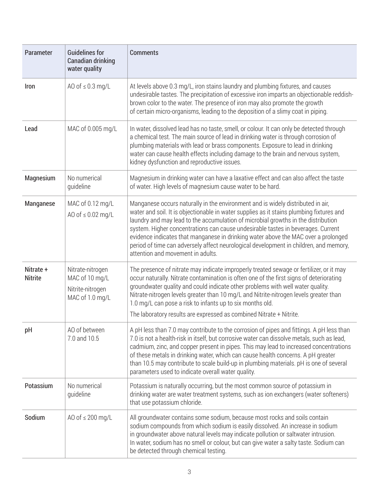| Parameter                   | <b>Guidelines for</b><br><b>Canadian drinking</b><br>water quality        | <b>Comments</b>                                                                                                                                                                                                                                                                                                                                                                                                                                                                                                                                                          |
|-----------------------------|---------------------------------------------------------------------------|--------------------------------------------------------------------------------------------------------------------------------------------------------------------------------------------------------------------------------------------------------------------------------------------------------------------------------------------------------------------------------------------------------------------------------------------------------------------------------------------------------------------------------------------------------------------------|
| <b>Iron</b>                 | AO of $\leq 0.3$ mg/L                                                     | At levels above 0.3 mg/L, iron stains laundry and plumbing fixtures, and causes<br>undesirable tastes. The precipitation of excessive iron imparts an objectionable reddish-<br>brown color to the water. The presence of iron may also promote the growth<br>of certain micro-organisms, leading to the deposition of a slimy coat in piping.                                                                                                                                                                                                                           |
| Lead                        | MAC of 0.005 mg/L                                                         | In water, dissolved lead has no taste, smell, or colour. It can only be detected through<br>a chemical test. The main source of lead in drinking water is through corrosion of<br>plumbing materials with lead or brass components. Exposure to lead in drinking<br>water can cause health effects including damage to the brain and nervous system,<br>kidney dysfunction and reproductive issues.                                                                                                                                                                      |
| Magnesium                   | No numerical<br>quideline                                                 | Magnesium in drinking water can have a laxative effect and can also affect the taste<br>of water. High levels of magnesium cause water to be hard.                                                                                                                                                                                                                                                                                                                                                                                                                       |
| Manganese                   | MAC of 0.12 mg/L<br>AO of $\leq 0.02$ mg/L                                | Manganese occurs naturally in the environment and is widely distributed in air,<br>water and soil. It is objectionable in water supplies as it stains plumbing fixtures and<br>laundry and may lead to the accumulation of microbial growths in the distribution<br>system. Higher concentrations can cause undesirable tastes in beverages. Current<br>evidence indicates that manganese in drinking water above the MAC over a prolonged<br>period of time can adversely affect neurological development in children, and memory,<br>attention and movement in adults. |
| Nitrate +<br><b>Nitrite</b> | Nitrate-nitrogen<br>MAC of 10 mg/L<br>Nitrite-nitrogen<br>MAC of 1.0 mg/L | The presence of nitrate may indicate improperly treated sewage or fertilizer, or it may<br>occur naturally. Nitrate contamination is often one of the first signs of deteriorating<br>groundwater quality and could indicate other problems with well water quality.<br>Nitrate-nitrogen levels greater than 10 mg/L and Nitrite-nitrogen levels greater than<br>1.0 mg/L can pose a risk to infants up to six months old.<br>The laboratory results are expressed as combined Nitrate + Nitrite.                                                                        |
| pH                          | AO of between<br>7.0 and 10.5                                             | A pH less than 7.0 may contribute to the corrosion of pipes and fittings. A pH less than<br>7.0 is not a health-risk in itself, but corrosive water can dissolve metals, such as lead,<br>cadmium, zinc, and copper present in pipes. This may lead to increased concentrations<br>of these metals in drinking water, which can cause health concerns. A pH greater<br>than 10.5 may contribute to scale build-up in plumbing materials. pH is one of several<br>parameters used to indicate overall water quality.                                                      |
| Potassium                   | No numerical<br>guideline                                                 | Potassium is naturally occurring, but the most common source of potassium in<br>drinking water are water treatment systems, such as ion exchangers (water softeners)<br>that use potassium chloride.                                                                                                                                                                                                                                                                                                                                                                     |
| Sodium                      | AO of $\leq 200$ mg/L                                                     | All groundwater contains some sodium, because most rocks and soils contain<br>sodium compounds from which sodium is easily dissolved. An increase in sodium<br>in groundwater above natural levels may indicate pollution or saltwater intrusion.<br>In water, sodium has no smell or colour, but can give water a salty taste. Sodium can<br>be detected through chemical testing.                                                                                                                                                                                      |